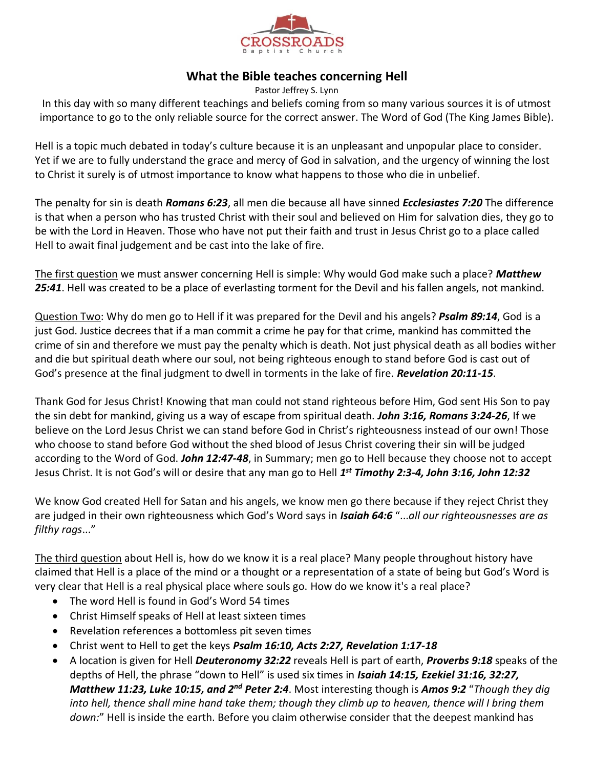

## **What the Bible teaches concerning Hell**

Pastor Jeffrey S. Lynn

In this day with so many different teachings and beliefs coming from so many various sources it is of utmost importance to go to the only reliable source for the correct answer. The Word of God (The King James Bible).

Hell is a topic much debated in today's culture because it is an unpleasant and unpopular place to consider. Yet if we are to fully understand the grace and mercy of God in salvation, and the urgency of winning the lost to Christ it surely is of utmost importance to know what happens to those who die in unbelief.

The penalty for sin is death *Romans 6:23*, all men die because all have sinned *Ecclesiastes 7:20* The difference is that when a person who has trusted Christ with their soul and believed on Him for salvation dies, they go to be with the Lord in Heaven. Those who have not put their faith and trust in Jesus Christ go to a place called Hell to await final judgement and be cast into the lake of fire.

The first question we must answer concerning Hell is simple: Why would God make such a place? *Matthew 25:41*. Hell was created to be a place of everlasting torment for the Devil and his fallen angels, not mankind.

Question Two: Why do men go to Hell if it was prepared for the Devil and his angels? *Psalm 89:14*, God is a just God. Justice decrees that if a man commit a crime he pay for that crime, mankind has committed the crime of sin and therefore we must pay the penalty which is death. Not just physical death as all bodies wither and die but spiritual death where our soul, not being righteous enough to stand before God is cast out of God's presence at the final judgment to dwell in torments in the lake of fire. *Revelation 20:11-15*.

Thank God for Jesus Christ! Knowing that man could not stand righteous before Him, God sent His Son to pay the sin debt for mankind, giving us a way of escape from spiritual death. *John 3:16, Romans 3:24-26*, If we believe on the Lord Jesus Christ we can stand before God in Christ's righteousness instead of our own! Those who choose to stand before God without the shed blood of Jesus Christ covering their sin will be judged according to the Word of God. *John 12:47-48*, in Summary; men go to Hell because they choose not to accept Jesus Christ. It is not God's will or desire that any man go to Hell *1 st Timothy 2:3-4, John 3:16, John 12:32*

We know God created Hell for Satan and his angels, we know men go there because if they reject Christ they are judged in their own righteousness which God's Word says in *Isaiah 64:6* "...*all our righteousnesses are as filthy rags*..."

The third question about Hell is, how do we know it is a real place? Many people throughout history have claimed that Hell is a place of the mind or a thought or a representation of a state of being but God's Word is very clear that Hell is a real physical place where souls go. How do we know it's a real place?

- The word Hell is found in God's Word 54 times
- Christ Himself speaks of Hell at least sixteen times
- Revelation references a bottomless pit seven times
- Christ went to Hell to get the keys *Psalm 16:10, Acts 2:27, Revelation 1:17-18*
- A location is given for Hell *Deuteronomy 32:22* reveals Hell is part of earth, *Proverbs 9:18* speaks of the depths of Hell, the phrase "down to Hell" is used six times in *Isaiah 14:15, Ezekiel 31:16, 32:27, Matthew 11:23, Luke 10:15, and 2nd Peter 2:4*. Most interesting though is *Amos 9:2* "*Though they dig into hell, thence shall mine hand take them; though they climb up to heaven, thence will I bring them down:*" Hell is inside the earth. Before you claim otherwise consider that the deepest mankind has